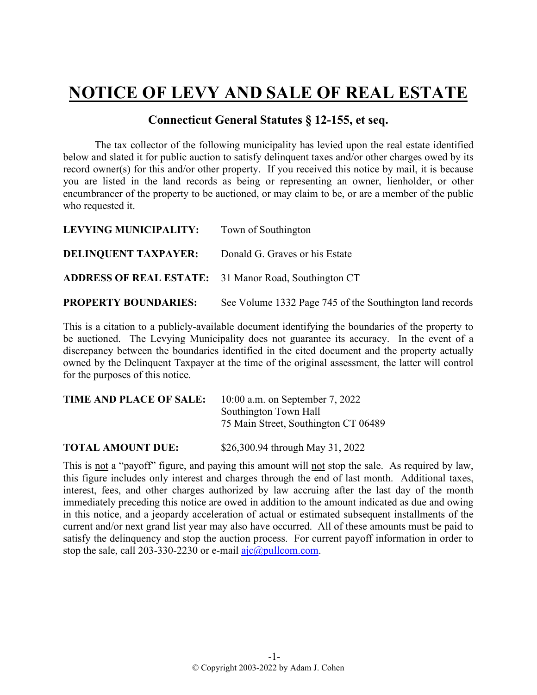## **NOTICE OF LEVY AND SALE OF REAL ESTATE**

## **Connecticut General Statutes § 12-155, et seq.**

The tax collector of the following municipality has levied upon the real estate identified below and slated it for public auction to satisfy delinquent taxes and/or other charges owed by its record owner(s) for this and/or other property. If you received this notice by mail, it is because you are listed in the land records as being or representing an owner, lienholder, or other encumbrancer of the property to be auctioned, or may claim to be, or are a member of the public who requested it.

| LEVYING MUNICIPALITY:                                        | Town of Southington                                      |
|--------------------------------------------------------------|----------------------------------------------------------|
| <b>DELINQUENT TAXPAYER:</b>                                  | Donald G. Graves or his Estate                           |
| <b>ADDRESS OF REAL ESTATE:</b> 31 Manor Road, Southington CT |                                                          |
| <b>PROPERTY BOUNDARIES:</b>                                  | See Volume 1332 Page 745 of the Southington land records |

This is a citation to a publicly-available document identifying the boundaries of the property to be auctioned. The Levying Municipality does not guarantee its accuracy. In the event of a discrepancy between the boundaries identified in the cited document and the property actually owned by the Delinquent Taxpayer at the time of the original assessment, the latter will control for the purposes of this notice.

| TIME AND PLACE OF SALE: | 10:00 a.m. on September 7, 2022      |
|-------------------------|--------------------------------------|
|                         | Southington Town Hall                |
|                         | 75 Main Street, Southington CT 06489 |
|                         |                                      |

**TOTAL AMOUNT DUE:** \$26,300.94 through May 31, 2022

This is not a "payoff" figure, and paying this amount will not stop the sale. As required by law, this figure includes only interest and charges through the end of last month. Additional taxes, interest, fees, and other charges authorized by law accruing after the last day of the month immediately preceding this notice are owed in addition to the amount indicated as due and owing in this notice, and a jeopardy acceleration of actual or estimated subsequent installments of the current and/or next grand list year may also have occurred. All of these amounts must be paid to satisfy the delinquency and stop the auction process. For current payoff information in order to stop the sale, call 203-330-2230 or e-mail  $a$ jc $@p$ ullcom.com.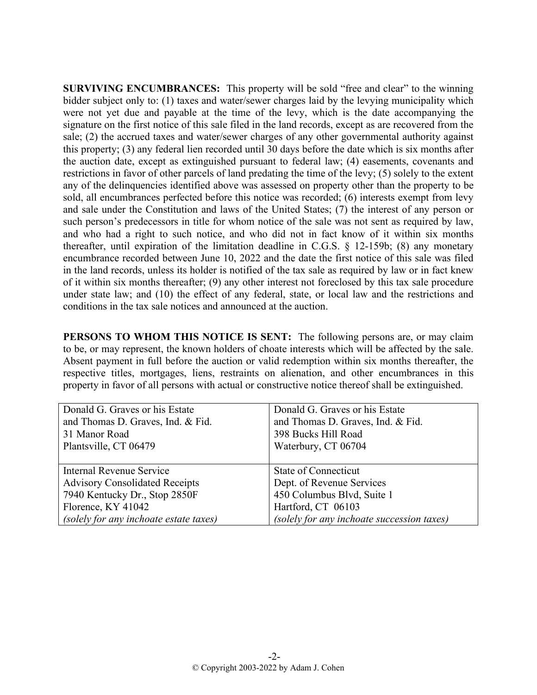**SURVIVING ENCUMBRANCES:** This property will be sold "free and clear" to the winning bidder subject only to: (1) taxes and water/sewer charges laid by the levying municipality which were not yet due and payable at the time of the levy, which is the date accompanying the signature on the first notice of this sale filed in the land records, except as are recovered from the sale; (2) the accrued taxes and water/sewer charges of any other governmental authority against this property; (3) any federal lien recorded until 30 days before the date which is six months after the auction date, except as extinguished pursuant to federal law; (4) easements, covenants and restrictions in favor of other parcels of land predating the time of the levy; (5) solely to the extent any of the delinquencies identified above was assessed on property other than the property to be sold, all encumbrances perfected before this notice was recorded; (6) interests exempt from levy and sale under the Constitution and laws of the United States; (7) the interest of any person or such person's predecessors in title for whom notice of the sale was not sent as required by law, and who had a right to such notice, and who did not in fact know of it within six months thereafter, until expiration of the limitation deadline in C.G.S. § 12-159b; (8) any monetary encumbrance recorded between June 10, 2022 and the date the first notice of this sale was filed in the land records, unless its holder is notified of the tax sale as required by law or in fact knew of it within six months thereafter; (9) any other interest not foreclosed by this tax sale procedure under state law; and (10) the effect of any federal, state, or local law and the restrictions and conditions in the tax sale notices and announced at the auction.

**PERSONS TO WHOM THIS NOTICE IS SENT:** The following persons are, or may claim to be, or may represent, the known holders of choate interests which will be affected by the sale. Absent payment in full before the auction or valid redemption within six months thereafter, the respective titles, mortgages, liens, restraints on alienation, and other encumbrances in this property in favor of all persons with actual or constructive notice thereof shall be extinguished.

| Donald G. Graves or his Estate         | Donald G. Graves or his Estate             |
|----------------------------------------|--------------------------------------------|
| and Thomas D. Graves, Ind. & Fid.      | and Thomas D. Graves, Ind. & Fid.          |
| 31 Manor Road                          | 398 Bucks Hill Road                        |
| Plantsville, CT 06479                  | Waterbury, CT 06704                        |
|                                        |                                            |
| Internal Revenue Service               | State of Connecticut                       |
| <b>Advisory Consolidated Receipts</b>  | Dept. of Revenue Services                  |
| 7940 Kentucky Dr., Stop 2850F          | 450 Columbus Blvd, Suite 1                 |
| Florence, KY 41042                     | Hartford, CT 06103                         |
| (solely for any inchoate estate taxes) | (solely for any inchoate succession taxes) |